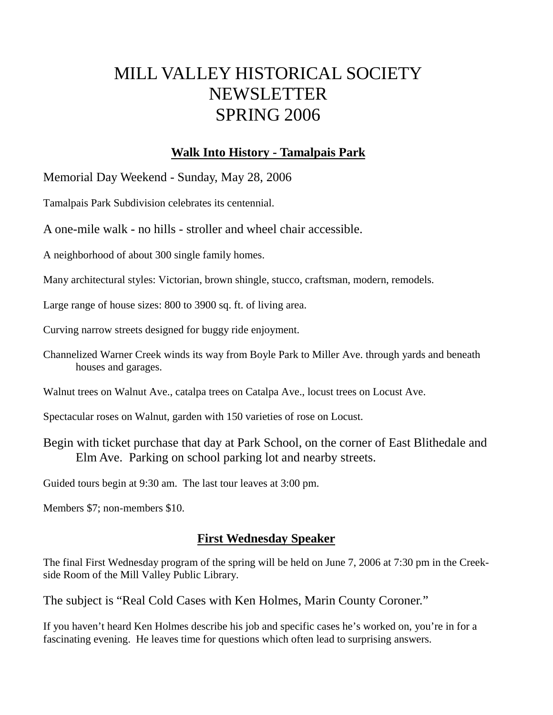# MILL VALLEY HISTORICAL SOCIETY NEWSLETTER SPRING 2006

### **Walk Into History - Tamalpais Park**

Memorial Day Weekend - Sunday, May 28, 2006

Tamalpais Park Subdivision celebrates its centennial.

A one-mile walk - no hills - stroller and wheel chair accessible.

A neighborhood of about 300 single family homes.

Many architectural styles: Victorian, brown shingle, stucco, craftsman, modern, remodels.

Large range of house sizes: 800 to 3900 sq. ft. of living area.

Curving narrow streets designed for buggy ride enjoyment.

Channelized Warner Creek winds its way from Boyle Park to Miller Ave. through yards and beneath houses and garages.

Walnut trees on Walnut Ave., catalpa trees on Catalpa Ave., locust trees on Locust Ave.

Spectacular roses on Walnut, garden with 150 varieties of rose on Locust.

Begin with ticket purchase that day at Park School, on the corner of East Blithedale and Elm Ave. Parking on school parking lot and nearby streets.

Guided tours begin at 9:30 am. The last tour leaves at 3:00 pm.

Members \$7; non-members \$10.

### **First Wednesday Speaker**

The final First Wednesday program of the spring will be held on June 7, 2006 at 7:30 pm in the Creekside Room of the Mill Valley Public Library.

The subject is "Real Cold Cases with Ken Holmes, Marin County Coroner."

If you haven't heard Ken Holmes describe his job and specific cases he's worked on, you're in for a fascinating evening. He leaves time for questions which often lead to surprising answers.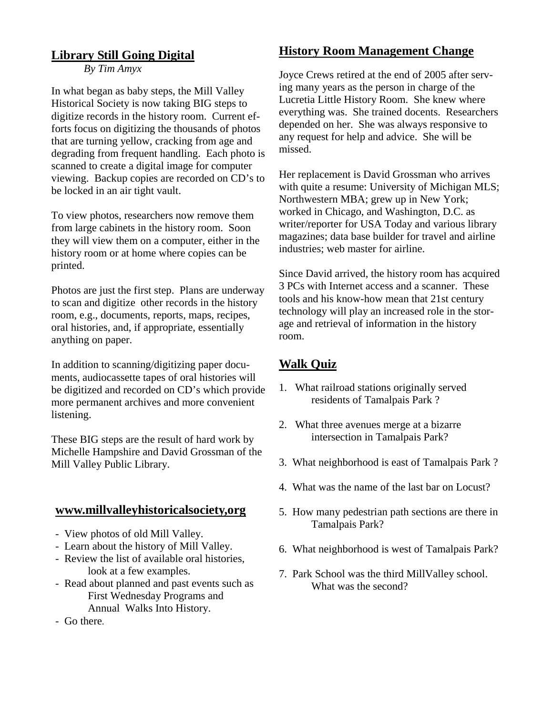### **Library Still Going Digital**

*By Tim Amyx*

In what began as baby steps, the Mill Valley Historical Society is now taking BIG steps to digitize records in the history room. Current efforts focus on digitizing the thousands of photos that are turning yellow, cracking from age and degrading from frequent handling. Each photo is scanned to create a digital image for computer viewing. Backup copies are recorded on CD's to be locked in an air tight vault.

To view photos, researchers now remove them from large cabinets in the history room. Soon they will view them on a computer, either in the history room or at home where copies can be printed.

Photos are just the first step. Plans are underway to scan and digitize other records in the history room, e.g., documents, reports, maps, recipes, oral histories, and, if appropriate, essentially anything on paper.

In addition to scanning/digitizing paper documents, audiocassette tapes of oral histories will be digitized and recorded on CD's which provide more permanent archives and more convenient listening.

These BIG steps are the result of hard work by Michelle Hampshire and David Grossman of the Mill Valley Public Library.

### **www.millvalleyhistoricalsociety,org**

- View photos of old Mill Valley.
- Learn about the history of Mill Valley.
- Review the list of available oral histories, look at a few examples.
- Read about planned and past events such as First Wednesday Programs and Annual Walks Into History.
- Go there.

### **History Room Management Change**

Joyce Crews retired at the end of 2005 after serving many years as the person in charge of the Lucretia Little History Room. She knew where everything was. She trained docents. Researchers depended on her. She was always responsive to any request for help and advice. She will be missed.

Her replacement is David Grossman who arrives with quite a resume: University of Michigan MLS; Northwestern MBA; grew up in New York; worked in Chicago, and Washington, D.C. as writer/reporter for USA Today and various library magazines; data base builder for travel and airline industries; web master for airline.

Since David arrived, the history room has acquired 3 PCs with Internet access and a scanner. These tools and his know-how mean that 21st century technology will play an increased role in the storage and retrieval of information in the history room.

# **Walk Quiz**

- 1. What railroad stations originally served residents of Tamalpais Park ?
- 2. What three avenues merge at a bizarre intersection in Tamalpais Park?
- 3. What neighborhood is east of Tamalpais Park ?
- 4. What was the name of the last bar on Locust?
- 5. How many pedestrian path sections are there in Tamalpais Park?
- 6. What neighborhood is west of Tamalpais Park?
- 7. Park School was the third MillValley school. What was the second?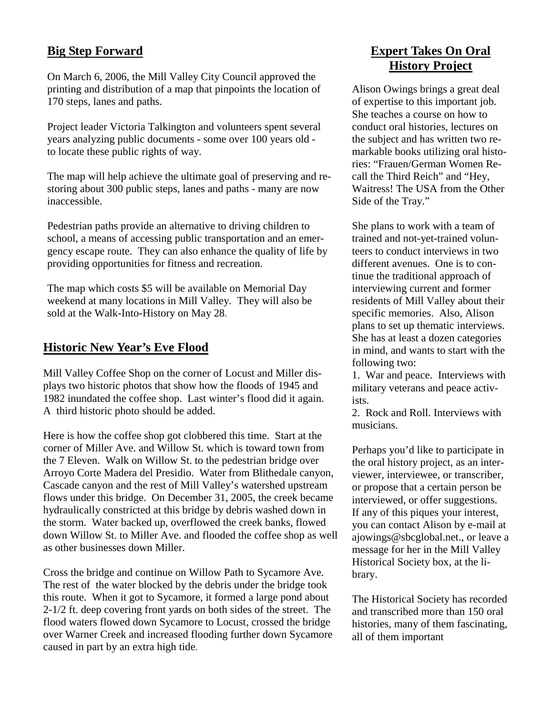### **Big Step Forward**

On March 6, 2006, the Mill Valley City Council approved the printing and distribution of a map that pinpoints the location of 170 steps, lanes and paths.

Project leader Victoria Talkington and volunteers spent several years analyzing public documents - some over 100 years old to locate these public rights of way.

The map will help achieve the ultimate goal of preserving and restoring about 300 public steps, lanes and paths - many are now inaccessible.

Pedestrian paths provide an alternative to driving children to school, a means of accessing public transportation and an emergency escape route. They can also enhance the quality of life by providing opportunities for fitness and recreation.

The map which costs \$5 will be available on Memorial Day weekend at many locations in Mill Valley. They will also be sold at the Walk-Into-History on May 28.

#### **Historic New Year's Eve Flood**

Mill Valley Coffee Shop on the corner of Locust and Miller displays two historic photos that show how the floods of 1945 and 1982 inundated the coffee shop. Last winter's flood did it again. A third historic photo should be added.

Here is how the coffee shop got clobbered this time. Start at the corner of Miller Ave. and Willow St. which is toward town from the 7 Eleven. Walk on Willow St. to the pedestrian bridge over Arroyo Corte Madera del Presidio. Water from Blithedale canyon, Cascade canyon and the rest of Mill Valley's watershed upstream flows under this bridge. On December 31, 2005, the creek became hydraulically constricted at this bridge by debris washed down in the storm. Water backed up, overflowed the creek banks, flowed down Willow St. to Miller Ave. and flooded the coffee shop as well as other businesses down Miller.

Cross the bridge and continue on Willow Path to Sycamore Ave. The rest of the water blocked by the debris under the bridge took this route. When it got to Sycamore, it formed a large pond about 2-1/2 ft. deep covering front yards on both sides of the street. The flood waters flowed down Sycamore to Locust, crossed the bridge over Warner Creek and increased flooding further down Sycamore caused in part by an extra high tide.

## **Expert Takes On Oral History Project**

Alison Owings brings a great deal of expertise to this important job. She teaches a course on how to conduct oral histories, lectures on the subject and has written two remarkable books utilizing oral histories: "Frauen/German Women Recall the Third Reich" and "Hey, Waitress! The USA from the Other Side of the Tray."

She plans to work with a team of trained and not-yet-trained volunteers to conduct interviews in two different avenues. One is to continue the traditional approach of interviewing current and former residents of Mill Valley about their specific memories. Also, Alison plans to set up thematic interviews. She has at least a dozen categories in mind, and wants to start with the following two:

1. War and peace. Interviews with military veterans and peace activists.

2. Rock and Roll. Interviews with musicians.

Perhaps you'd like to participate in the oral history project, as an interviewer, interviewee, or transcriber, or propose that a certain person be interviewed, or offer suggestions. If any of this piques your interest, you can contact Alison by e-mail at ajowings@sbcglobal.net., or leave a message for her in the Mill Valley Historical Society box, at the library.

The Historical Society has recorded and transcribed more than 150 oral histories, many of them fascinating, all of them important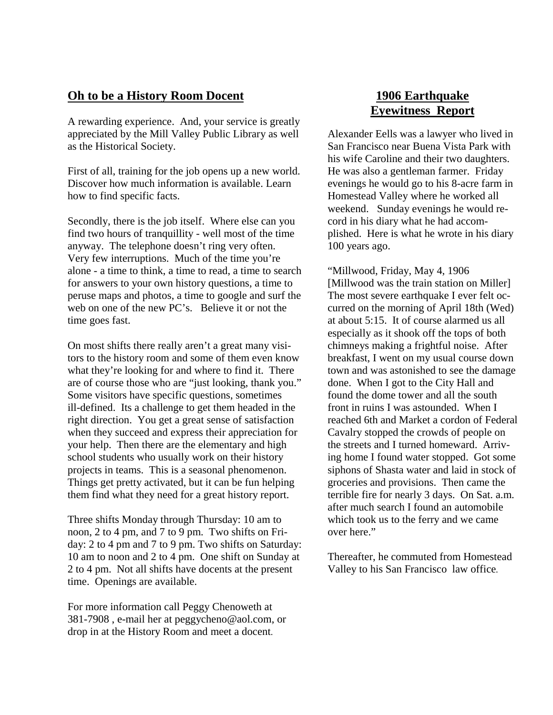#### **Oh to be a History Room Docent**

A rewarding experience. And, your service is greatly appreciated by the Mill Valley Public Library as well as the Historical Society.

First of all, training for the job opens up a new world. Discover how much information is available. Learn how to find specific facts.

Secondly, there is the job itself. Where else can you find two hours of tranquillity - well most of the time anyway. The telephone doesn't ring very often. Very few interruptions. Much of the time you're alone - a time to think, a time to read, a time to search for answers to your own history questions, a time to peruse maps and photos, a time to google and surf the web on one of the new PC's. Believe it or not the time goes fast.

On most shifts there really aren't a great many visitors to the history room and some of them even know what they're looking for and where to find it. There are of course those who are "just looking, thank you." Some visitors have specific questions, sometimes ill-defined. Its a challenge to get them headed in the right direction. You get a great sense of satisfaction when they succeed and express their appreciation for your help. Then there are the elementary and high school students who usually work on their history projects in teams. This is a seasonal phenomenon. Things get pretty activated, but it can be fun helping them find what they need for a great history report.

Three shifts Monday through Thursday: 10 am to noon, 2 to 4 pm, and 7 to 9 pm. Two shifts on Friday: 2 to 4 pm and 7 to 9 pm. Two shifts on Saturday: 10 am to noon and 2 to 4 pm. One shift on Sunday at 2 to 4 pm. Not all shifts have docents at the present time. Openings are available.

For more information call Peggy Chenoweth at 381-7908 , e-mail her at peggycheno@aol.com, or drop in at the History Room and meet a docent.

### **1906 Earthquake Eyewitness Report**

Alexander Eells was a lawyer who lived in San Francisco near Buena Vista Park with his wife Caroline and their two daughters. He was also a gentleman farmer. Friday evenings he would go to his 8-acre farm in Homestead Valley where he worked all weekend. Sunday evenings he would record in his diary what he had accomplished. Here is what he wrote in his diary 100 years ago.

"Millwood, Friday, May 4, 1906 [Millwood was the train station on Miller] The most severe earthquake I ever felt occurred on the morning of April 18th (Wed) at about 5:15. It of course alarmed us all especially as it shook off the tops of both chimneys making a frightful noise. After breakfast, I went on my usual course down town and was astonished to see the damage done. When I got to the City Hall and found the dome tower and all the south front in ruins I was astounded. When I reached 6th and Market a cordon of Federal Cavalry stopped the crowds of people on the streets and I turned homeward. Arriving home I found water stopped. Got some siphons of Shasta water and laid in stock of groceries and provisions. Then came the terrible fire for nearly 3 days. On Sat. a.m. after much search I found an automobile which took us to the ferry and we came over here."

Thereafter, he commuted from Homestead Valley to his San Francisco law office.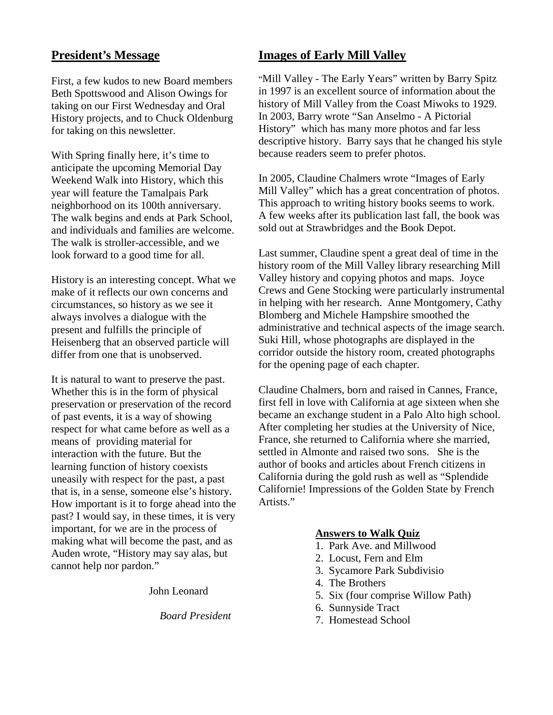#### **President's Message**

First, a few kudos to new Board members Beth Spottswood and Alison Owings for taking on our First Wednesday and Oral History projects, and to Chuck Oldenburg for taking on this newsletter.

With Spring finally here, it's time to anticipate the upcoming Memorial Day Weekend Walk into History, which this year will feature the Tamalpais Park neighborhood on its 100th anniversary. The walk begins and ends at Park School, and individuals and families are welcome. The walk is stroller-accessible, and we look forward to a good time for all.

History is an interesting concept. What we make of it reflects our own concerns and circumstances, so history as we see it always involves a dialogue with the present and fulfills the principle of Heisenberg that an observed particle will differ from one that is unobserved.

It is natural to want to preserve the past. Whether this is in the form of physical preservation or preservation of the record of past events, it is a way of showing respect for what came before as well as a means of providing material for interaction with the future. But the learning function of history coexists uneasily with respect for the past, a past that is, in a sense, someone else's history. How important is it to forge ahead into the past? I would say, in these times, it is very important, for we are in the process of making what will become the past, and as Auden wrote, "History may say alas, but cannot help nor pardon."

John Leonard

*Board President* 

#### **Images of Early Mill Valley**

"Mill Valley - The Early Years" written by Barry Spitz in 1997 is an excellent source of information about the history of Mill Valley from the Coast Miwoks to 1929. In 2003, Barry wrote "San Anselmo - A Pictorial History" which has many more photos and far less descriptive history. Barry says that he changed his style because readers seem to prefer photos.

In 2005, Claudine Chalmers wrote "Images of Early Mill Valley" which has a great concentration of photos. This approach to writing history books seems to work. A few weeks after its publication last fall, the book was sold out at Strawbridges and the Book Depot.

Last summer, Claudine spent a great deal of time in the history room of the Mill Valley library researching Mill Valley history and copying photos and maps. Joyce Crews and Gene Stocking were particularly instrumental in helping with her research. Anne Montgomery, Cathy Blomberg and Michele Hampshire smoothed the administrative and technical aspects of the image search. Suki Hill, whose photographs are displayed in the corridor outside the history room, created photographs for the opening page of each chapter.

Claudine Chalmers, born and raised in Cannes, France, first fell in love with California at age sixteen when she became an exchange student in a Palo Alto high school. After completing her studies at the University of Nice, France, she returned to California where she married, settled in Almonte and raised two sons. She is the author of books and articles about French citizens in California during the gold rush as well as "Splendide Californie! Impressions of the Golden State by French Artists."

#### **Answers to Walk Quiz**

- 1. Park Ave. and Millwood
- 2. Locust, Fern and Elm
- 3. Sycamore Park Subdivisio
- 4. The Brothers
- 5. Six (four comprise Willow Path)
- 6. Sunnyside Tract
- 7. Homestead School